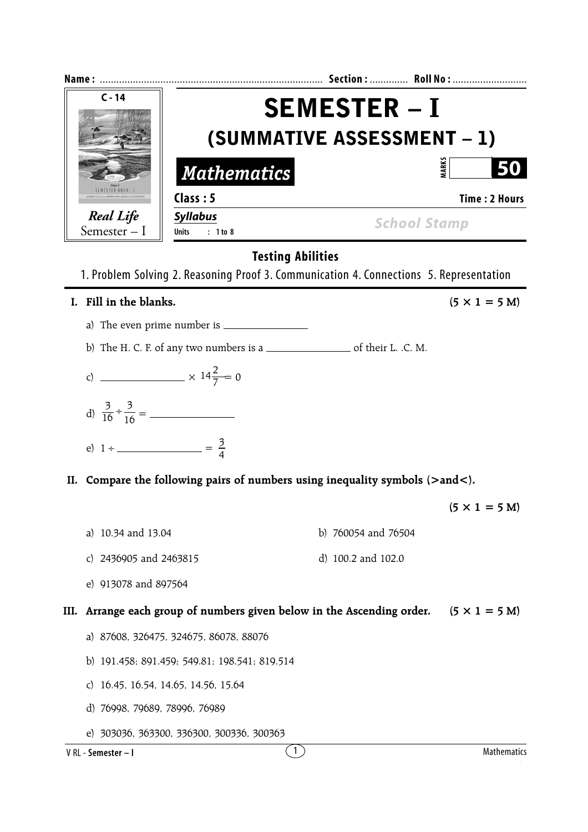